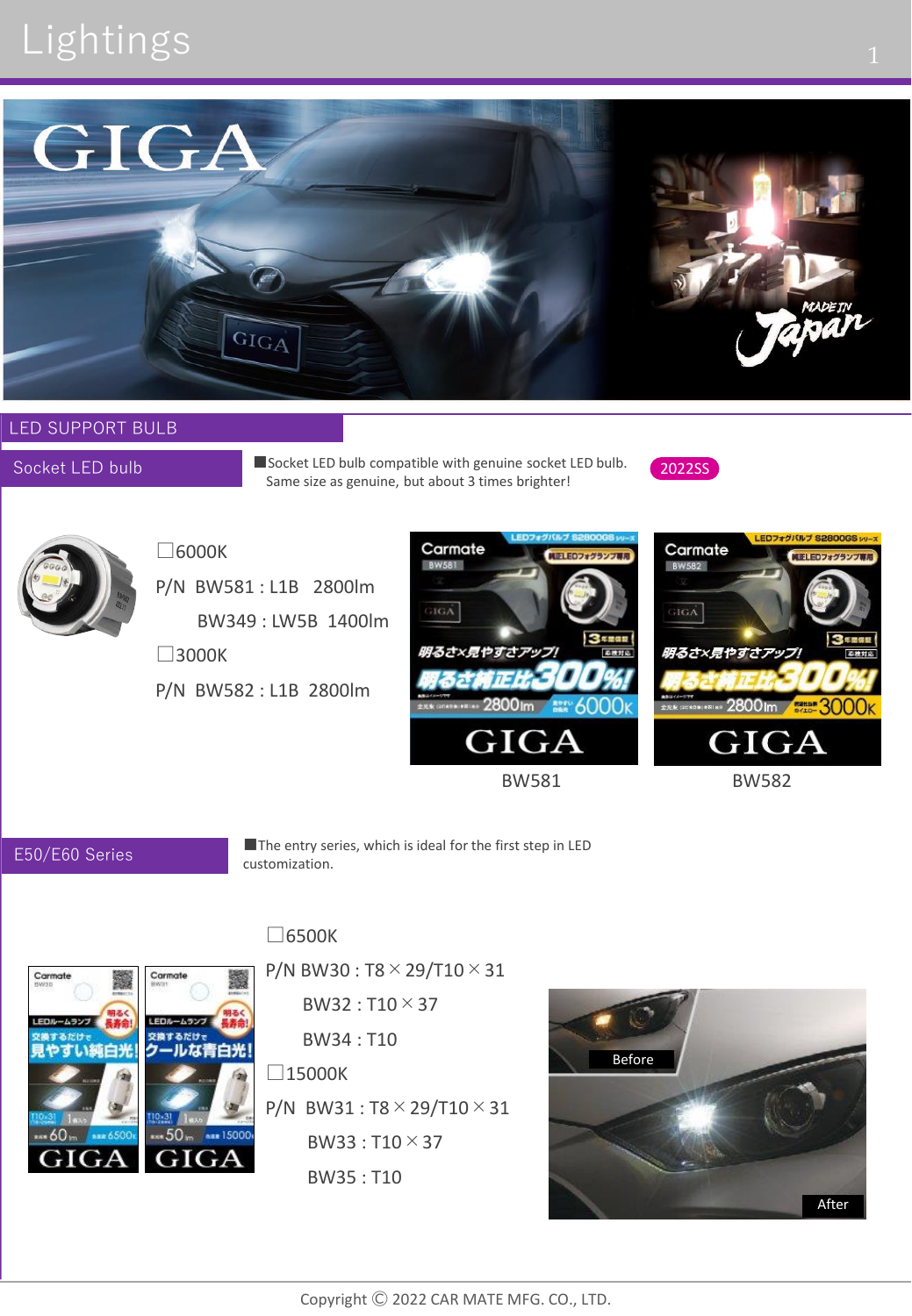# Lightings 1



### LED SUPPORT BULB

Socket LED bulb

■Socket LED bulb compatible with genuine socket LED bulb. Same size as genuine, but about 3 times brighter!





## □6000K

P/N BW581 : L1B 2800lm BW349 : LW5B 1400lm

□3000K

P/N BW582 : L1B 2800lm



Carmate MIELEDフォグランプ等 BW582  $\rm_{HGA}$ **3** FREE 明るさ×見やすさアッン 2800 Im 3000 K GIGA

LEDフォグバルブ S2800GS ッッース

BW581 BW582

### E50/E60 Series

■The entry series, which is ideal for the first step in LED customization.

## □6500K



 $BW32 : T10 \times 37$ BW34 : T10  $\square$ 15000K P/N BW31 : T8×29/T10×31  $BW33 : T10 \times 37$ BW35 : T10